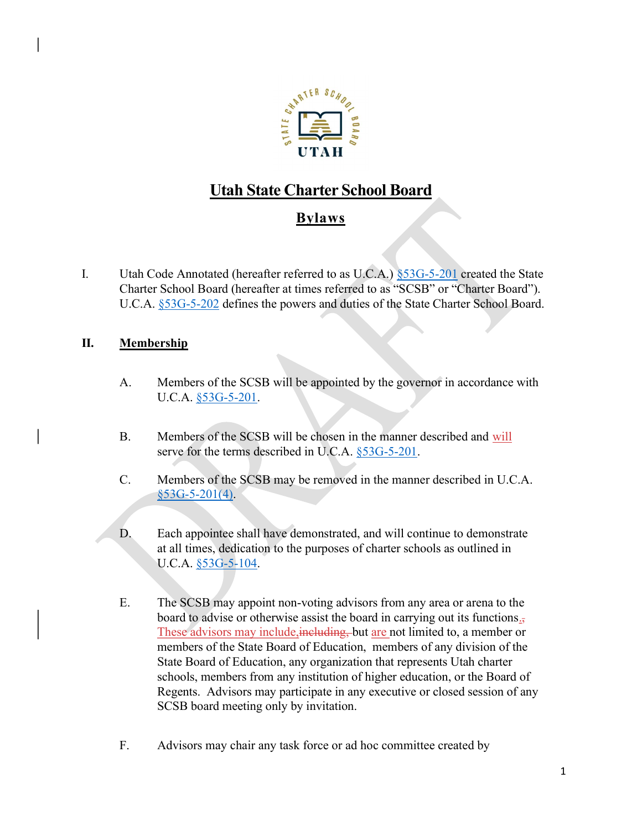

# Utah State Charter School Board

## **Bylaws**

I. Utah Code Annotated (hereafter referred to as U.C.A.) §53G-5-201 created the State Charter School Board (hereafter at times referred to as "SCSB" or "Charter Board"). U.C.A. §53G-5-202 defines the powers and duties of the State Charter School Board.

### II. Membership

- A. Members of the SCSB will be appointed by the governor in accordance with U.C.A. §53G-5-201.
- B. Members of the SCSB will be chosen in the manner described and will serve for the terms described in U.C.A. §53G-5-201.
- C. Members of the SCSB may be removed in the manner described in U.C.A.  $§$ 53G-5-201(4).
- D. Each appointee shall have demonstrated, and will continue to demonstrate at all times, dedication to the purposes of charter schools as outlined in U.C.A. §53G-5-104.
- E. The SCSB may appoint non-voting advisors from any area or arena to the board to advise or otherwise assist the board in carrying out its functions., These advisors may include, including, but are not limited to, a member or members of the State Board of Education, members of any division of the State Board of Education, any organization that represents Utah charter schools, members from any institution of higher education, or the Board of Regents. Advisors may participate in any executive or closed session of any SCSB board meeting only by invitation.
- F. Advisors may chair any task force or ad hoc committee created by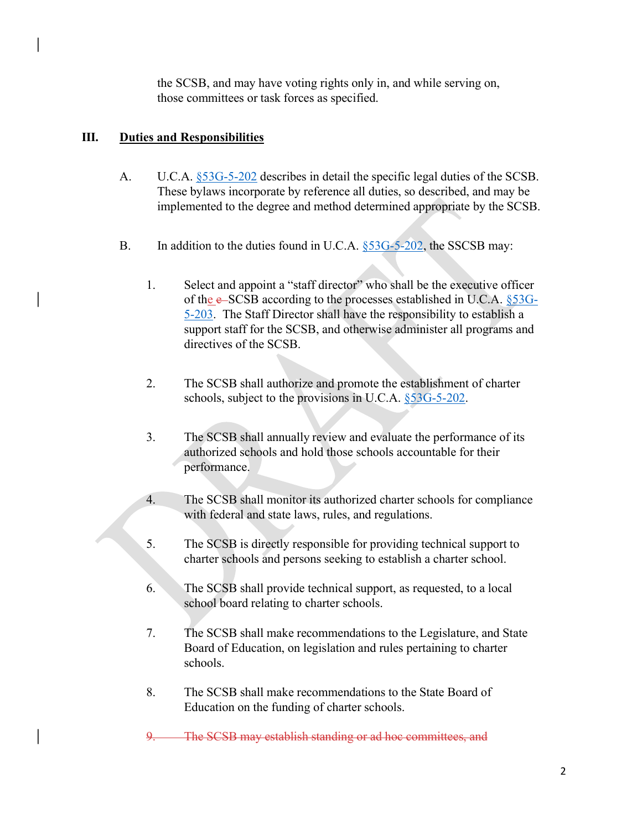the SCSB, and may have voting rights only in, and while serving on, those committees or task forces as specified.

#### III. Duties and Responsibilities

- A. U.C.A.  $\S 53G-5-202$  describes in detail the specific legal duties of the SCSB. These bylaws incorporate by reference all duties, so described, and may be implemented to the degree and method determined appropriate by the SCSB.
- B. In addition to the duties found in U.C.A. §53G-5-202, the SSCSB may:
	- 1. Select and appoint a "staff director" who shall be the executive officer of the e-SCSB according to the processes established in U.C.A. §53G-5-203. The Staff Director shall have the responsibility to establish a support staff for the SCSB, and otherwise administer all programs and directives of the SCSB.
	- 2. The SCSB shall authorize and promote the establishment of charter schools, subject to the provisions in U.C.A. §53G-5-202.
	- 3. The SCSB shall annually review and evaluate the performance of its authorized schools and hold those schools accountable for their performance.
	- 4. The SCSB shall monitor its authorized charter schools for compliance with federal and state laws, rules, and regulations.
	- 5. The SCSB is directly responsible for providing technical support to charter schools and persons seeking to establish a charter school.
	- 6. The SCSB shall provide technical support, as requested, to a local school board relating to charter schools.
	- 7. The SCSB shall make recommendations to the Legislature, and State Board of Education, on legislation and rules pertaining to charter schools.
	- 8. The SCSB shall make recommendations to the State Board of Education on the funding of charter schools.
	- 9. The SCSB may establish standing or ad hoc committees, and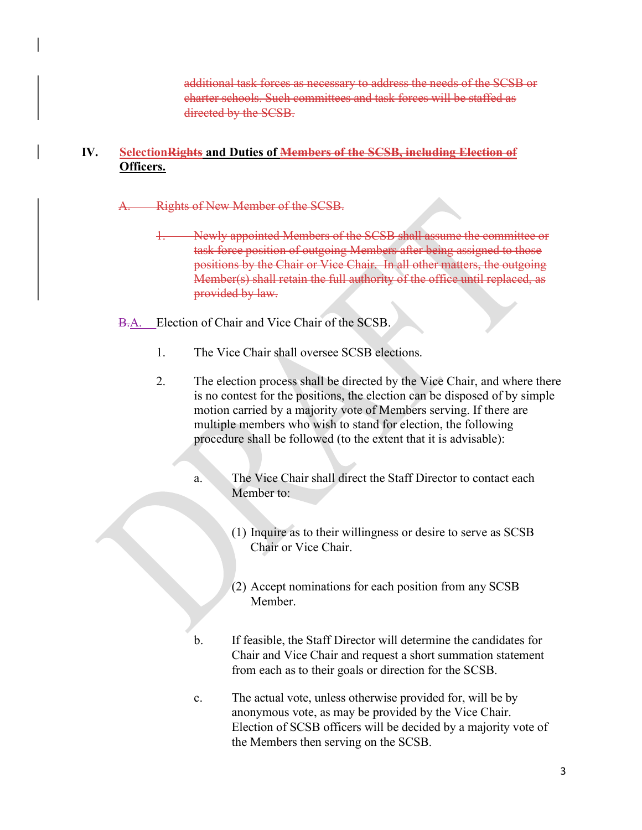additional task forces as necessary to address the needs of the SCSB or charter schools. Such committees and task forces will be staffed as directed by the SCSB.

#### IV. SelectionRights and Duties of Members of the SCSB, including Election of Officers.

Rights of New Member of the SCSB.

1. Newly appointed Members of the SCSB shall assume the committee or task force position of outgoing Members after being assigned to those positions by the Chair or Vice Chair. In all other matters, the outgoing Member(s) shall retain the full authority of the office until replaced, as provided by law.

B.A. Election of Chair and Vice Chair of the SCSB.

- 1. The Vice Chair shall oversee SCSB elections.
- 2. The election process shall be directed by the Vice Chair, and where there is no contest for the positions, the election can be disposed of by simple motion carried by a majority vote of Members serving. If there are multiple members who wish to stand for election, the following procedure shall be followed (to the extent that it is advisable):
	- a. The Vice Chair shall direct the Staff Director to contact each Member to:
		- (1) Inquire as to their willingness or desire to serve as SCSB Chair or Vice Chair.
		- (2) Accept nominations for each position from any SCSB Member.
	- b. If feasible, the Staff Director will determine the candidates for Chair and Vice Chair and request a short summation statement from each as to their goals or direction for the SCSB.
	- c. The actual vote, unless otherwise provided for, will be by anonymous vote, as may be provided by the Vice Chair. Election of SCSB officers will be decided by a majority vote of the Members then serving on the SCSB.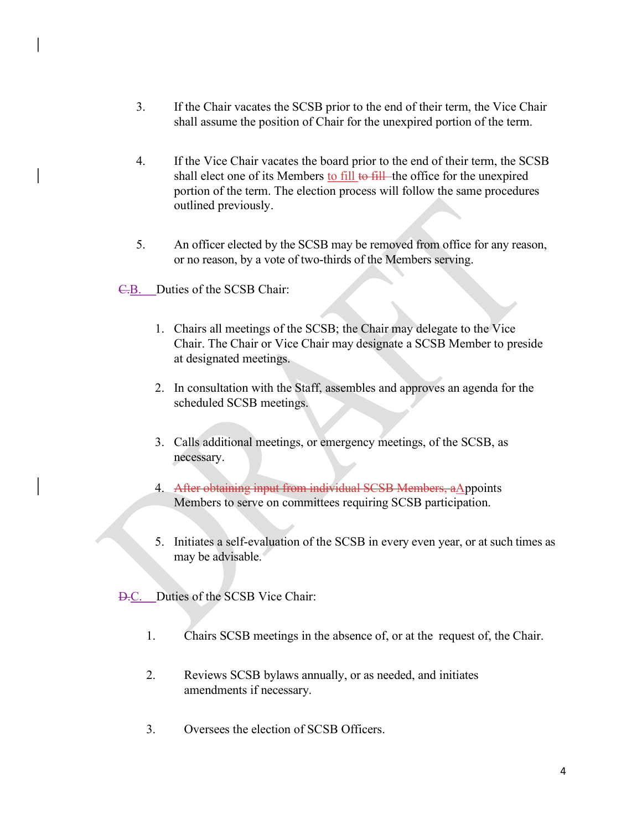- 3. If the Chair vacates the SCSB prior to the end of their term, the Vice Chair shall assume the position of Chair for the unexpired portion of the term.
- 4. If the Vice Chair vacates the board prior to the end of their term, the SCSB shall elect one of its Members to fill to fill—the office for the unexpired portion of the term. The election process will follow the same procedures outlined previously.
- 5. An officer elected by the SCSB may be removed from office for any reason, or no reason, by a vote of two-thirds of the Members serving.
- C.B. Duties of the SCSB Chair:
	- 1. Chairs all meetings of the SCSB; the Chair may delegate to the Vice Chair. The Chair or Vice Chair may designate a SCSB Member to preside at designated meetings.
	- 2. In consultation with the Staff, assembles and approves an agenda for the scheduled SCSB meetings.
	- 3. Calls additional meetings, or emergency meetings, of the SCSB, as necessary.
	- 4. After obtaining input from individual SCSB Members, aAppoints Members to serve on committees requiring SCSB participation.
	- 5. Initiates a self-evaluation of the SCSB in every even year, or at such times as may be advisable.

D.C. Duties of the SCSB Vice Chair:

- 1. Chairs SCSB meetings in the absence of, or at the request of, the Chair.
- 2. Reviews SCSB bylaws annually, or as needed, and initiates amendments if necessary.
- 3. Oversees the election of SCSB Officers.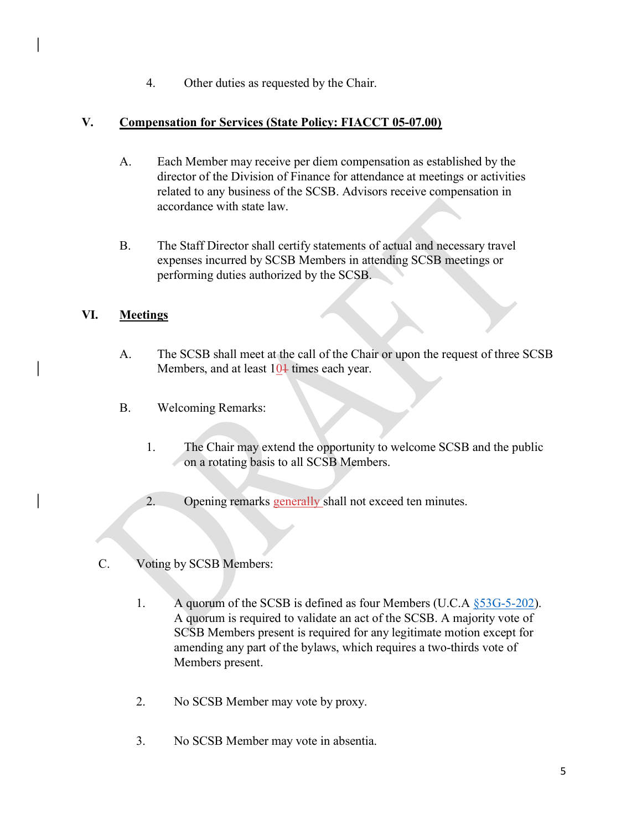4. Other duties as requested by the Chair.

#### V. Compensation for Services (State Policy: FIACCT 05-07.00)

- A. Each Member may receive per diem compensation as established by the director of the Division of Finance for attendance at meetings or activities related to any business of the SCSB. Advisors receive compensation in accordance with state law.
- B. The Staff Director shall certify statements of actual and necessary travel expenses incurred by SCSB Members in attending SCSB meetings or performing duties authorized by the SCSB.

### VI. Meetings

- A. The SCSB shall meet at the call of the Chair or upon the request of three SCSB Members, and at least  $10<sup>1</sup>$  times each year.
- B. Welcoming Remarks:
	- 1. The Chair may extend the opportunity to welcome SCSB and the public on a rotating basis to all SCSB Members.
	- 2. Opening remarks generally shall not exceed ten minutes.
- C. Voting by SCSB Members:
	- 1. A quorum of the SCSB is defined as four Members (U.C.A  $\S$ 53G-5-202). A quorum is required to validate an act of the SCSB. A majority vote of SCSB Members present is required for any legitimate motion except for amending any part of the bylaws, which requires a two-thirds vote of Members present.
	- 2. No SCSB Member may vote by proxy.
	- 3. No SCSB Member may vote in absentia.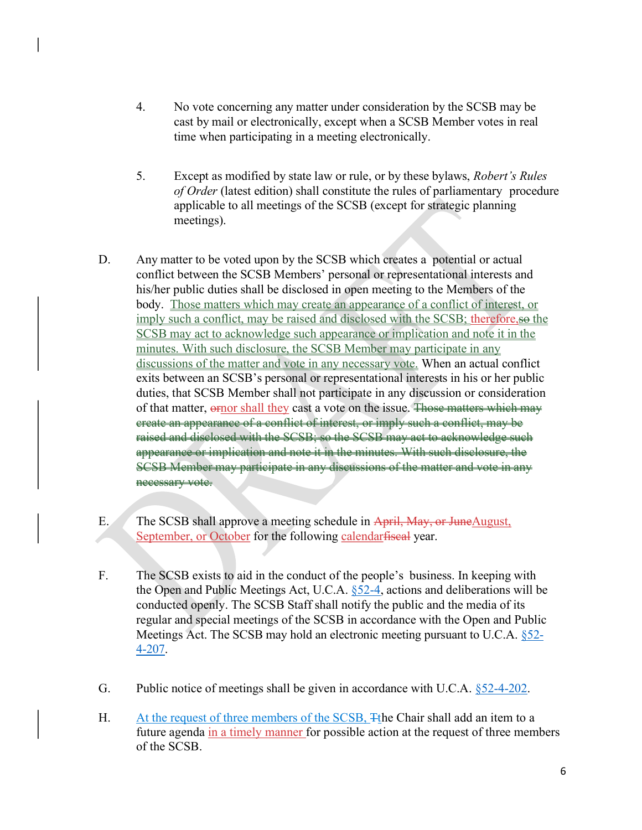- 4. No vote concerning any matter under consideration by the SCSB may be cast by mail or electronically, except when a SCSB Member votes in real time when participating in a meeting electronically.
- 5. Except as modified by state law or rule, or by these bylaws, Robert's Rules of Order (latest edition) shall constitute the rules of parliamentary procedure applicable to all meetings of the SCSB (except for strategic planning meetings).
- D. Any matter to be voted upon by the SCSB which creates a potential or actual conflict between the SCSB Members' personal or representational interests and his/her public duties shall be disclosed in open meeting to the Members of the body. Those matters which may create an appearance of a conflict of interest, or imply such a conflict, may be raised and disclosed with the SCSB; therefore, so the SCSB may act to acknowledge such appearance or implication and note it in the minutes. With such disclosure, the SCSB Member may participate in any discussions of the matter and vote in any necessary vote. When an actual conflict exits between an SCSB's personal or representational interests in his or her public duties, that SCSB Member shall not participate in any discussion or consideration of that matter, ornor shall they cast a vote on the issue. Those matters which may create an appearance of a conflict of interest, or imply such a conflict, may be raised and disclosed with the SCSB; so the SCSB may act to acknowledge such appearance or implication and note it in the minutes. With such disclosure, the SCSB Member may participate in any discussions of the matter and vote in any necessary vote.
- E. The SCSB shall approve a meeting schedule in April, May, or JuneAugust, September, or October for the following calendarfiseal year.
- F. The SCSB exists to aid in the conduct of the people's business. In keeping with the Open and Public Meetings Act, U.C.A.  $\S$  52-4, actions and deliberations will be conducted openly. The SCSB Staff shall notify the public and the media of its regular and special meetings of the SCSB in accordance with the Open and Public Meetings Act. The SCSB may hold an electronic meeting pursuant to U.C.A. §52- 4-207.
- G. Public notice of meetings shall be given in accordance with U.C.A.  $\S$ 52-4-202.
- H. At the request of three members of the SCSB, Tthe Chair shall add an item to a future agenda in a timely manner for possible action at the request of three members of the SCSB.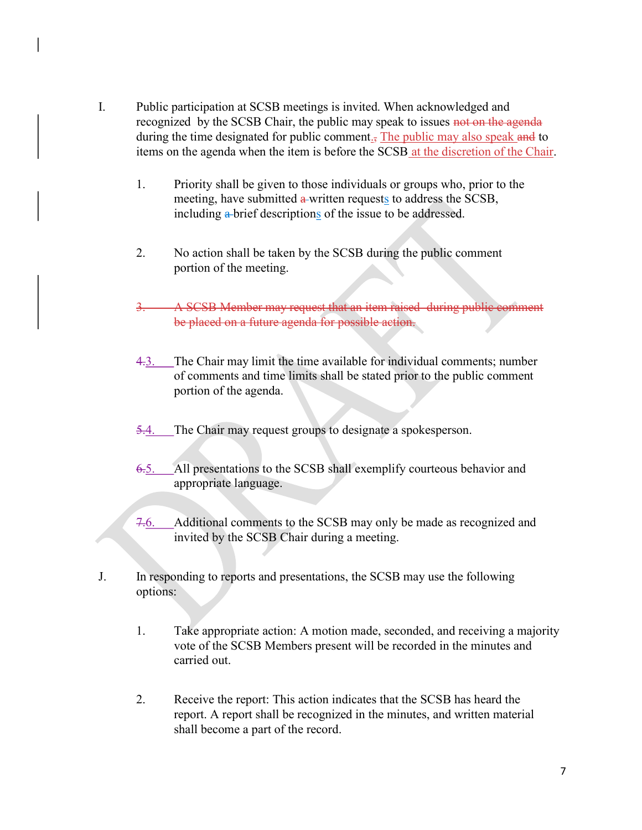- I. Public participation at SCSB meetings is invited. When acknowledged and recognized by the SCSB Chair, the public may speak to issues not on the agenda during the time designated for public comment<sub> $\bar{J}$ </sub> The public may also speak and to items on the agenda when the item is before the SCSB at the discretion of the Chair.
	- 1. Priority shall be given to those individuals or groups who, prior to the meeting, have submitted a written requests to address the SCSB, including a brief descriptions of the issue to be addressed.
	- 2. No action shall be taken by the SCSB during the public comment portion of the meeting.
	- 3. A SCSB Member may request that an item raised during public comment be placed on a future agenda for possible action.
	- 4.3. The Chair may limit the time available for individual comments; number of comments and time limits shall be stated prior to the public comment portion of the agenda.
	- 5.4. The Chair may request groups to designate a spokesperson.
	- 6.5. All presentations to the SCSB shall exemplify courteous behavior and appropriate language.
	- 7.6. Additional comments to the SCSB may only be made as recognized and invited by the SCSB Chair during a meeting.
- J. In responding to reports and presentations, the SCSB may use the following options:
	- 1. Take appropriate action: A motion made, seconded, and receiving a majority vote of the SCSB Members present will be recorded in the minutes and carried out.
	- 2. Receive the report: This action indicates that the SCSB has heard the report. A report shall be recognized in the minutes, and written material shall become a part of the record.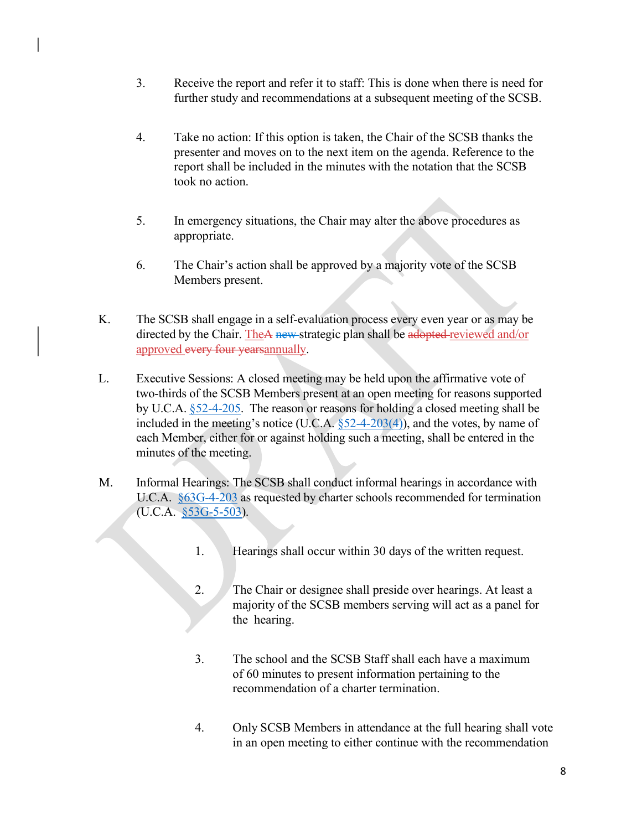- 3. Receive the report and refer it to staff: This is done when there is need for further study and recommendations at a subsequent meeting of the SCSB.
- 4. Take no action: If this option is taken, the Chair of the SCSB thanks the presenter and moves on to the next item on the agenda. Reference to the report shall be included in the minutes with the notation that the SCSB took no action.
- 5. In emergency situations, the Chair may alter the above procedures as appropriate.
- 6. The Chair's action shall be approved by a majority vote of the SCSB Members present.
- K. The SCSB shall engage in a self-evaluation process every even year or as may be directed by the Chair. TheA new strategic plan shall be adopted reviewed and/or approved every four years annually.
- L. Executive Sessions: A closed meeting may be held upon the affirmative vote of two-thirds of the SCSB Members present at an open meeting for reasons supported by U.C.A. §52-4-205. The reason or reasons for holding a closed meeting shall be included in the meeting's notice (U.C.A.  $\S$ 52-4-203(4)), and the votes, by name of each Member, either for or against holding such a meeting, shall be entered in the minutes of the meeting.
- M. Informal Hearings: The SCSB shall conduct informal hearings in accordance with U.C.A. §63G-4-203 as requested by charter schools recommended for termination (U.C.A. §53G-5-503).
	- 1. Hearings shall occur within 30 days of the written request.
	- 2. The Chair or designee shall preside over hearings. At least a majority of the SCSB members serving will act as a panel for the hearing.
	- 3. The school and the SCSB Staff shall each have a maximum of 60 minutes to present information pertaining to the recommendation of a charter termination.
	- 4. Only SCSB Members in attendance at the full hearing shall vote in an open meeting to either continue with the recommendation